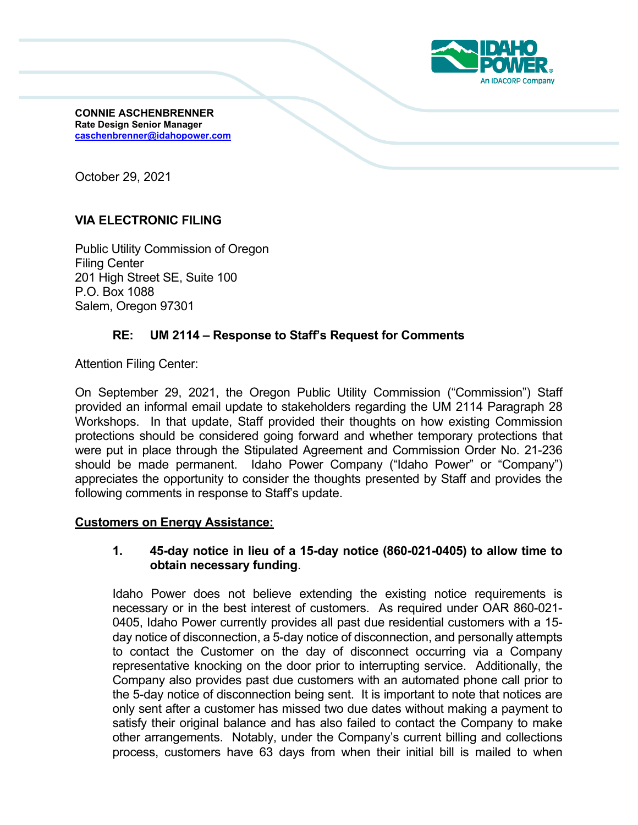

**CONNIE ASCHENBRENNER Rate Design Senior Manager caschenbrenner@idahopower.com**

October 29, 2021

# **VIA ELECTRONIC FILING**

Public Utility Commission of Oregon Filing Center 201 High Street SE, Suite 100 P.O. Box 1088 Salem, Oregon 97301

## **RE: UM 2114 – Response to Staff's Request for Comments**

Attention Filing Center:

On September 29, 2021, the Oregon Public Utility Commission ("Commission") Staff provided an informal email update to stakeholders regarding the UM 2114 Paragraph 28 Workshops. In that update, Staff provided their thoughts on how existing Commission protections should be considered going forward and whether temporary protections that were put in place through the Stipulated Agreement and Commission Order No. 21-236 should be made permanent. Idaho Power Company ("Idaho Power" or "Company") appreciates the opportunity to consider the thoughts presented by Staff and provides the following comments in response to Staff's update.

#### **Customers on Energy Assistance:**

### **1. 45-day notice in lieu of a 15-day notice (860-021-0405) to allow time to obtain necessary funding**.

Idaho Power does not believe extending the existing notice requirements is necessary or in the best interest of customers. As required under OAR 860-021- 0405, Idaho Power currently provides all past due residential customers with a 15 day notice of disconnection, a 5-day notice of disconnection, and personally attempts to contact the Customer on the day of disconnect occurring via a Company representative knocking on the door prior to interrupting service. Additionally, the Company also provides past due customers with an automated phone call prior to the 5-day notice of disconnection being sent. It is important to note that notices are only sent after a customer has missed two due dates without making a payment to satisfy their original balance and has also failed to contact the Company to make other arrangements. Notably, under the Company's current billing and collections process, customers have 63 days from when their initial bill is mailed to when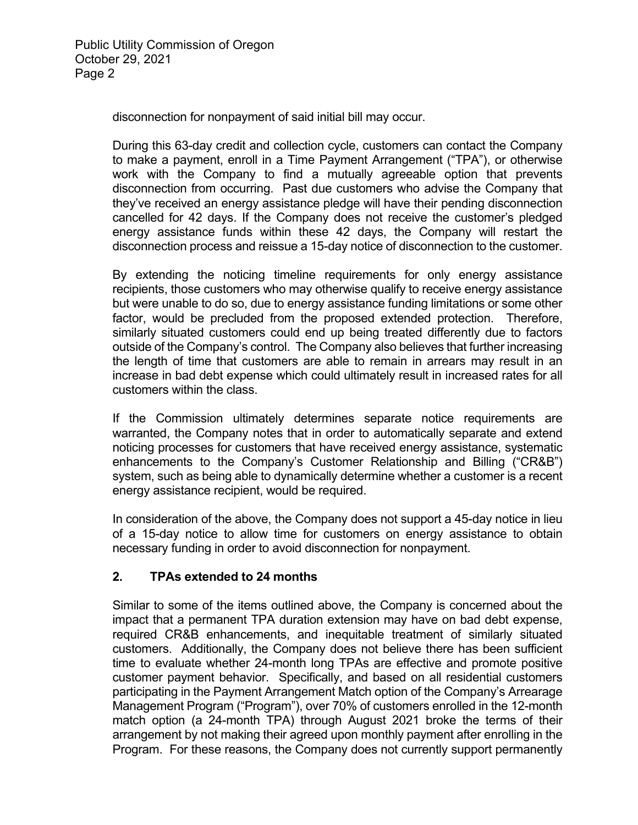disconnection for nonpayment of said initial bill may occur.

During this 63-day credit and collection cycle, customers can contact the Company to make a payment, enroll in a Time Payment Arrangement ("TPA"), or otherwise work with the Company to find a mutually agreeable option that prevents disconnection from occurring. Past due customers who advise the Company that they've received an energy assistance pledge will have their pending disconnection cancelled for 42 days. If the Company does not receive the customer's pledged energy assistance funds within these 42 days, the Company will restart the disconnection process and reissue a 15-day notice of disconnection to the customer.

By extending the noticing timeline requirements for only energy assistance recipients, those customers who may otherwise qualify to receive energy assistance but were unable to do so, due to energy assistance funding limitations or some other factor, would be precluded from the proposed extended protection. Therefore, similarly situated customers could end up being treated differently due to factors outside of the Company's control. The Company also believes that further increasing the length of time that customers are able to remain in arrears may result in an increase in bad debt expense which could ultimately result in increased rates for all customers within the class.

If the Commission ultimately determines separate notice requirements are warranted, the Company notes that in order to automatically separate and extend noticing processes for customers that have received energy assistance, systematic enhancements to the Company's Customer Relationship and Billing ("CR&B") system, such as being able to dynamically determine whether a customer is a recent energy assistance recipient, would be required.

In consideration of the above, the Company does not support a 45-day notice in lieu of a 15-day notice to allow time for customers on energy assistance to obtain necessary funding in order to avoid disconnection for nonpayment.

## **2. TPAs extended to 24 months**

Similar to some of the items outlined above, the Company is concerned about the impact that a permanent TPA duration extension may have on bad debt expense, required CR&B enhancements, and inequitable treatment of similarly situated customers. Additionally, the Company does not believe there has been sufficient time to evaluate whether 24-month long TPAs are effective and promote positive customer payment behavior. Specifically, and based on all residential customers participating in the Payment Arrangement Match option of the Company's Arrearage Management Program ("Program"), over 70% of customers enrolled in the 12-month match option (a 24-month TPA) through August 2021 broke the terms of their arrangement by not making their agreed upon monthly payment after enrolling in the Program. For these reasons, the Company does not currently support permanently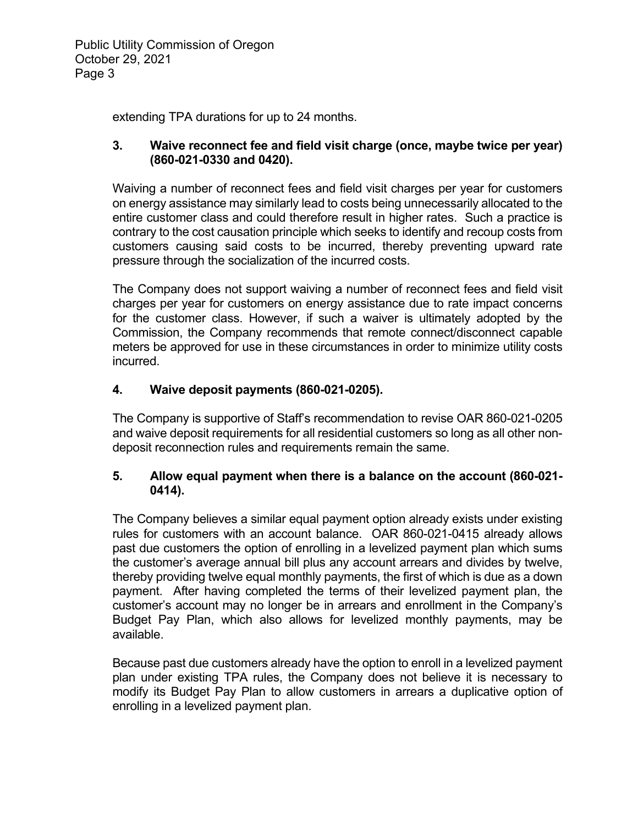extending TPA durations for up to 24 months.

## **3. Waive reconnect fee and field visit charge (once, maybe twice per year) (860-021-0330 and 0420).**

Waiving a number of reconnect fees and field visit charges per year for customers on energy assistance may similarly lead to costs being unnecessarily allocated to the entire customer class and could therefore result in higher rates. Such a practice is contrary to the cost causation principle which seeks to identify and recoup costs from customers causing said costs to be incurred, thereby preventing upward rate pressure through the socialization of the incurred costs.

The Company does not support waiving a number of reconnect fees and field visit charges per year for customers on energy assistance due to rate impact concerns for the customer class. However, if such a waiver is ultimately adopted by the Commission, the Company recommends that remote connect/disconnect capable meters be approved for use in these circumstances in order to minimize utility costs incurred.

# **4. Waive deposit payments (860-021-0205).**

The Company is supportive of Staff's recommendation to revise OAR 860-021-0205 and waive deposit requirements for all residential customers so long as all other nondeposit reconnection rules and requirements remain the same.

# **5. Allow equal payment when there is a balance on the account (860-021- 0414).**

The Company believes a similar equal payment option already exists under existing rules for customers with an account balance. OAR 860-021-0415 already allows past due customers the option of enrolling in a levelized payment plan which sums the customer's average annual bill plus any account arrears and divides by twelve, thereby providing twelve equal monthly payments, the first of which is due as a down payment. After having completed the terms of their levelized payment plan, the customer's account may no longer be in arrears and enrollment in the Company's Budget Pay Plan, which also allows for levelized monthly payments, may be available.

Because past due customers already have the option to enroll in a levelized payment plan under existing TPA rules, the Company does not believe it is necessary to modify its Budget Pay Plan to allow customers in arrears a duplicative option of enrolling in a levelized payment plan.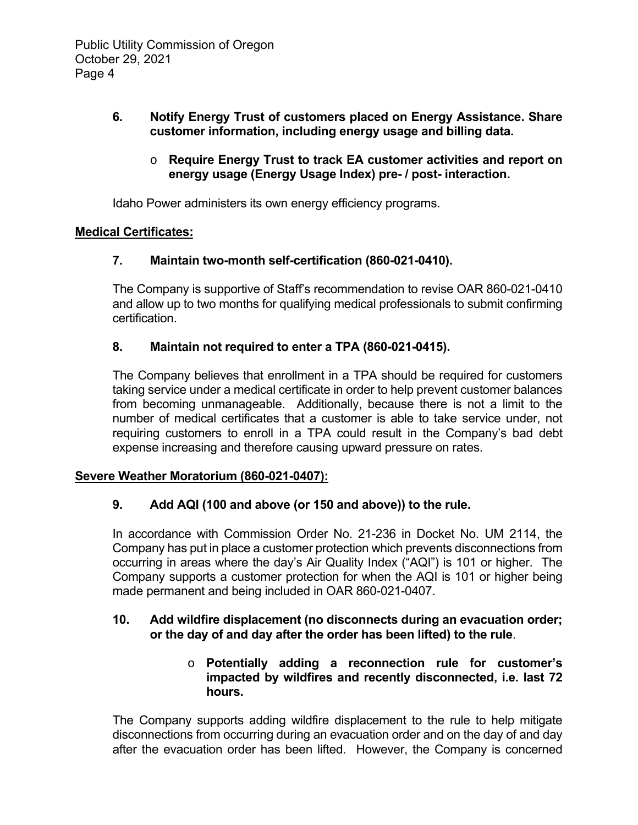## **6. Notify Energy Trust of customers placed on Energy Assistance. Share customer information, including energy usage and billing data.**

## o **Require Energy Trust to track EA customer activities and report on energy usage (Energy Usage Index) pre- / post- interaction.**

Idaho Power administers its own energy efficiency programs.

## **Medical Certificates:**

## **7. Maintain two-month self-certification (860-021-0410).**

The Company is supportive of Staff's recommendation to revise OAR 860-021-0410 and allow up to two months for qualifying medical professionals to submit confirming certification.

## **8. Maintain not required to enter a TPA (860-021-0415).**

The Company believes that enrollment in a TPA should be required for customers taking service under a medical certificate in order to help prevent customer balances from becoming unmanageable. Additionally, because there is not a limit to the number of medical certificates that a customer is able to take service under, not requiring customers to enroll in a TPA could result in the Company's bad debt expense increasing and therefore causing upward pressure on rates.

#### **Severe Weather Moratorium (860-021-0407):**

## **9. Add AQI (100 and above (or 150 and above)) to the rule.**

In accordance with Commission Order No. 21-236 in Docket No. UM 2114, the Company has put in place a customer protection which prevents disconnections from occurring in areas where the day's Air Quality Index ("AQI") is 101 or higher. The Company supports a customer protection for when the AQI is 101 or higher being made permanent and being included in OAR 860-021-0407.

### **10. Add wildfire displacement (no disconnects during an evacuation order; or the day of and day after the order has been lifted) to the rule**.

## o **Potentially adding a reconnection rule for customer's impacted by wildfires and recently disconnected, i.e. last 72 hours.**

The Company supports adding wildfire displacement to the rule to help mitigate disconnections from occurring during an evacuation order and on the day of and day after the evacuation order has been lifted. However, the Company is concerned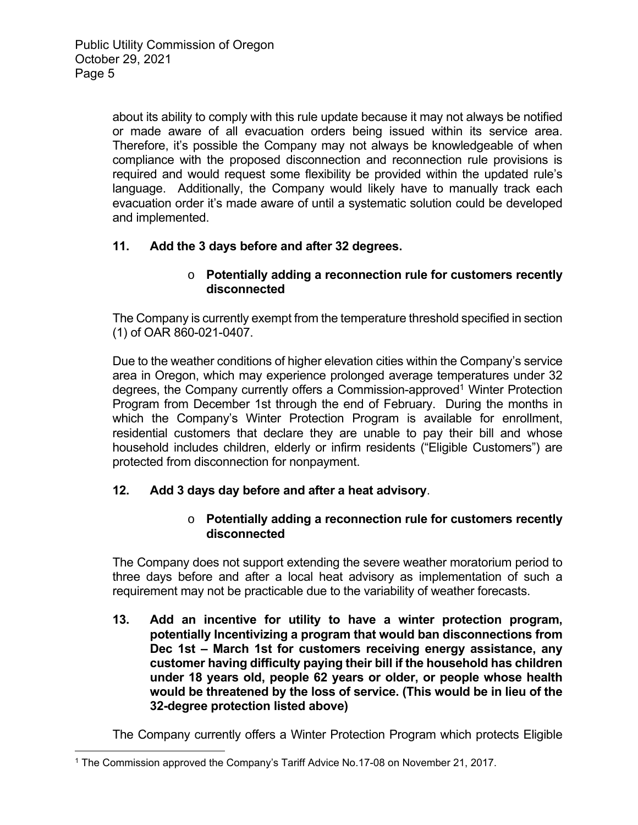about its ability to comply with this rule update because it may not always be notified or made aware of all evacuation orders being issued within its service area. Therefore, it's possible the Company may not always be knowledgeable of when compliance with the proposed disconnection and reconnection rule provisions is required and would request some flexibility be provided within the updated rule's language. Additionally, the Company would likely have to manually track each evacuation order it's made aware of until a systematic solution could be developed and implemented.

# **11. Add the 3 days before and after 32 degrees.**

### o **Potentially adding a reconnection rule for customers recently disconnected**

The Company is currently exempt from the temperature threshold specified in section (1) of OAR 860-021-0407.

Due to the weather conditions of higher elevation cities within the Company's service area in Oregon, which may experience prolonged average temperatures under 32 degrees, the Company currently offers a Commission-approved<sup>1</sup> Winter Protection Program from December 1st through the end of February. During the months in which the Company's Winter Protection Program is available for enrollment, residential customers that declare they are unable to pay their bill and whose household includes children, elderly or infirm residents ("Eligible Customers") are protected from disconnection for nonpayment.

## **12. Add 3 days day before and after a heat advisory**.

## o **Potentially adding a reconnection rule for customers recently disconnected**

The Company does not support extending the severe weather moratorium period to three days before and after a local heat advisory as implementation of such a requirement may not be practicable due to the variability of weather forecasts.

**13. Add an incentive for utility to have a winter protection program, potentially Incentivizing a program that would ban disconnections from Dec 1st – March 1st for customers receiving energy assistance, any customer having difficulty paying their bill if the household has children under 18 years old, people 62 years or older, or people whose health would be threatened by the loss of service. (This would be in lieu of the 32-degree protection listed above)** 

The Company currently offers a Winter Protection Program which protects Eligible

<sup>1</sup> The Commission approved the Company's Tariff Advice No.17-08 on November 21, 2017.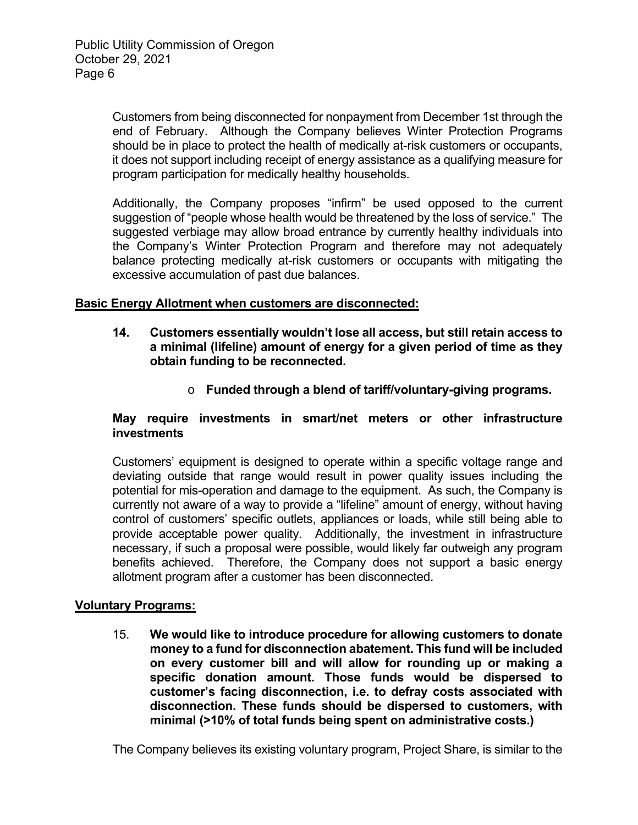Customers from being disconnected for nonpayment from December 1st through the end of February. Although the Company believes Winter Protection Programs should be in place to protect the health of medically at-risk customers or occupants, it does not support including receipt of energy assistance as a qualifying measure for program participation for medically healthy households.

Additionally, the Company proposes "infirm" be used opposed to the current suggestion of "people whose health would be threatened by the loss of service." The suggested verbiage may allow broad entrance by currently healthy individuals into the Company's Winter Protection Program and therefore may not adequately balance protecting medically at-risk customers or occupants with mitigating the excessive accumulation of past due balances.

## **Basic Energy Allotment when customers are disconnected:**

- **14. Customers essentially wouldn't lose all access, but still retain access to a minimal (lifeline) amount of energy for a given period of time as they obtain funding to be reconnected.** 
	- o **Funded through a blend of tariff/voluntary-giving programs.**

### **May require investments in smart/net meters or other infrastructure investments**

Customers' equipment is designed to operate within a specific voltage range and deviating outside that range would result in power quality issues including the potential for mis-operation and damage to the equipment. As such, the Company is currently not aware of a way to provide a "lifeline" amount of energy, without having control of customers' specific outlets, appliances or loads, while still being able to provide acceptable power quality. Additionally, the investment in infrastructure necessary, if such a proposal were possible, would likely far outweigh any program benefits achieved. Therefore, the Company does not support a basic energy allotment program after a customer has been disconnected.

#### **Voluntary Programs:**

15. **We would like to introduce procedure for allowing customers to donate money to a fund for disconnection abatement. This fund will be included on every customer bill and will allow for rounding up or making a specific donation amount. Those funds would be dispersed to customer's facing disconnection, i.e. to defray costs associated with disconnection. These funds should be dispersed to customers, with minimal (>10% of total funds being spent on administrative costs.)**

The Company believes its existing voluntary program, Project Share, is similar to the